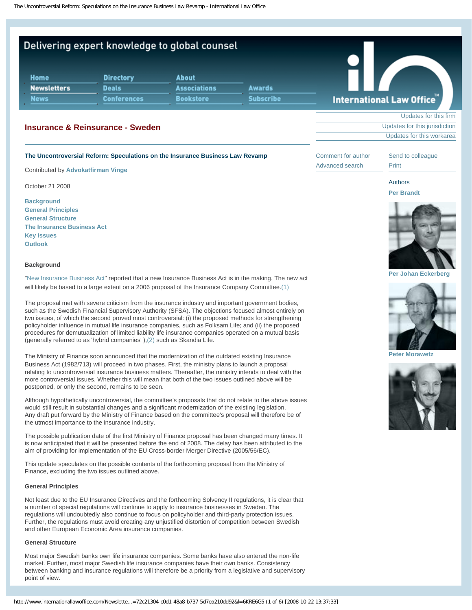# Delivering expert knowledge to global counsel

| <b>Home</b>        | <b>Directory</b>   | <b>About</b>        |                  |    |
|--------------------|--------------------|---------------------|------------------|----|
| <b>Newsletters</b> | <b>Deals</b>       | <b>Associations</b> | <b>Awards</b>    |    |
| <b>News</b>        | <b>Conferences</b> | <b>Bookstore</b>    | <b>Subscribe</b> | In |

# **Insurance & Reinsurance - Sweden**

#### **The Uncontroversial Reform: Speculations on the Insurance Business Law Revamp**

Contributed by **[Advokatfirman Vinge](http://www.internationallawoffice.com/Directory/detail.aspx?g=e94a071b-db16-4884-8d0d-a0d02488bd73)**

October 21 2008

**[Background](#page-0-0) [General Principles](#page-0-1) [General Structure](#page-0-2) [The Insurance Business Act](#page-1-0) [Key Issues](#page-1-1) [Outlook](#page-4-0)**

# <span id="page-0-0"></span>**Background**

"[New Insurance Business Act"](http://www.internationallawoffice.com/Newsletters/detail.aspx?g=e8fddfad-d2fa-da11-8a10-00065bfd3168) reported that a new Insurance Business Act is in the making. The new act will likely be based to a large extent on a 2006 proposal of the Insurance Company Committee[.\(1\)](#page-4-1)

The proposal met with severe criticism from the insurance industry and important government bodies, such as the Swedish Financial Supervisory Authority (SFSA). The objections focused almost entirely on two issues, of which the second proved most controversial: (i) the proposed methods for strengthening policyholder influence in mutual life insurance companies, such as Folksam Life; and (ii) the proposed procedures for demutualization of limited liability life insurance companies operated on a mutual basis (generally referred to as 'hybrid companies' ),[\(2\)](#page-4-2) such as Skandia Life.

The Ministry of Finance soon announced that the modernization of the outdated existing Insurance Business Act (1982/713) will proceed in two phases. First, the ministry plans to launch a proposal relating to uncontroversial insurance business matters. Thereafter, the ministry intends to deal with the more controversial issues. Whether this will mean that both of the two issues outlined above will be postponed, or only the second, remains to be seen.

Although hypothetically uncontroversial, the committee's proposals that do not relate to the above issues would still result in substantial changes and a significant modernization of the existing legislation. Any draft put forward by the Ministry of Finance based on the committee's proposal will therefore be of the utmost importance to the insurance industry.

The possible publication date of the first Ministry of Finance proposal has been changed many times. It is now anticipated that it will be presented before the end of 2008. The delay has been attributed to the aim of providing for implementation of the EU Cross-border Merger Directive (2005/56/EC).

This update speculates on the possible contents of the forthcoming proposal from the Ministry of Finance, excluding the two issues outlined above.

# <span id="page-0-1"></span>**General Principles**

Not least due to the EU Insurance Directives and the forthcoming Solvency II regulations, it is clear that a number of special regulations will continue to apply to insurance businesses in Sweden. The regulations will undoubtedly also continue to focus on policyholder and third-party protection issues. Further, the regulations must avoid creating any unjustified distortion of competition between Swedish and other European Economic Area insurance companies.

#### <span id="page-0-2"></span>**General Structure**

Most major Swedish banks own life insurance companies. Some banks have also entered the non-life market. Further, most major Swedish life insurance companies have their own banks. Consistency between banking and insurance regulations will therefore be a priority from a legislative and supervisory point of view.



[Updates for this firm](http://www.internationallawoffice.com/Newsletters/results.aspx?og=e94a071b-db16-4884-8d0d-a0d02488bd73) [Updates for this jurisdiction](http://www.internationallawoffice.com/Newsletters/results.aspx?c=Sweden) [Updates for this workarea](http://www.internationallawoffice.com/Newsletters/results.aspx?w=Insurance+%26+Reinsurance)

[Comment for author](http://www.internationallawoffice.com/Newsletters/Comment.aspx?g=72c21304-c0d1-48a8-b737-5d7ea210dd92) [Advanced search](http://www.internationallawoffice.com/Newsletters/default.aspx)

[Send to colleague](http://www.internationallawoffice.com/Newsletters/colleague.aspx?g=72c21304-c0d1-48a8-b737-5d7ea210dd92) **[Print](javascript:window.print();)** 





**[Per Johan Eckerberg](http://www.internationallawoffice.com/Directory/biography.aspx?g=cda05c2d-3089-4143-8f8c-de3537c46413)**



**[Peter Morawetz](http://www.internationallawoffice.com/Directory/biography.aspx?g=5d24ae6a-f61a-49c0-8feb-4d45075065ab)**

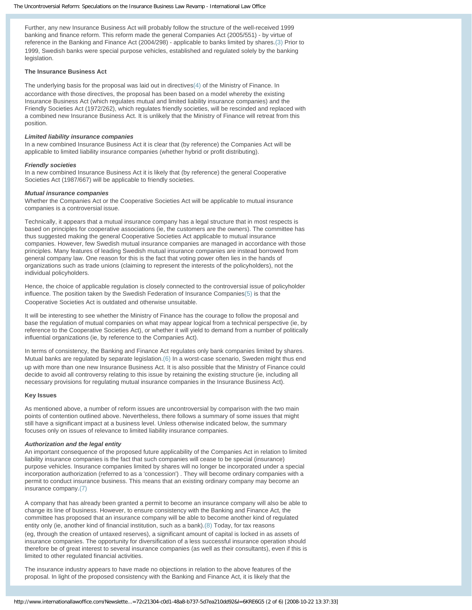Further, any new Insurance Business Act will probably follow the structure of the well-received 1999 banking and finance reform. This reform made the general Companies Act (2005/551) - by virtue of reference in the Banking and Finance Act (2004/298) - applicable to banks limited by shares[.\(3\)](#page-4-3) Prior to 1999, Swedish banks were special purpose vehicles, established and regulated solely by the banking legislation.

# <span id="page-1-0"></span>**The Insurance Business Act**

The underlying basis for the proposal was laid out in directives[\(4\)](#page-4-4) of the Ministry of Finance. In accordance with those directives, the proposal has been based on a model whereby the existing Insurance Business Act (which regulates mutual and limited liability insurance companies) and the Friendly Societies Act (1972/262), which regulates friendly societies, will be rescinded and replaced with a combined new Insurance Business Act. It is unlikely that the Ministry of Finance will retreat from this position.

#### *Limited liability insurance companies*

In a new combined Insurance Business Act it is clear that (by reference) the Companies Act will be applicable to limited liability insurance companies (whether hybrid or profit distributing).

#### *Friendly societies*

In a new combined Insurance Business Act it is likely that (by reference) the general Cooperative Societies Act (1987/667) will be applicable to friendly societies.

#### *Mutual insurance companies*

Whether the Companies Act or the Cooperative Societies Act will be applicable to mutual insurance companies is a controversial issue.

Technically, it appears that a mutual insurance company has a legal structure that in most respects is based on principles for cooperative associations (ie, the customers are the owners). The committee has thus suggested making the general Cooperative Societies Act applicable to mutual insurance companies. However, few Swedish mutual insurance companies are managed in accordance with those principles. Many features of leading Swedish mutual insurance companies are instead borrowed from general company law. One reason for this is the fact that voting power often lies in the hands of organizations such as trade unions (claiming to represent the interests of the policyholders), not the individual policyholders.

Hence, the choice of applicable regulation is closely connected to the controversial issue of policyholder influence. The position taken by the Swedish Federation of Insurance Companie[s\(5\)](#page-4-5) is that the Cooperative Societies Act is outdated and otherwise unsuitable.

It will be interesting to see whether the Ministry of Finance has the courage to follow the proposal and base the regulation of mutual companies on what may appear logical from a technical perspective (ie, by reference to the Cooperative Societies Act), or whether it will yield to demand from a number of politically influential organizations (ie, by reference to the Companies Act).

In terms of consistency, the Banking and Finance Act regulates only bank companies limited by shares. Mutual banks are regulated by separate legislation.[\(6\)](#page-4-6) In a worst-case scenario, Sweden might thus end up with more than one new Insurance Business Act. It is also possible that the Ministry of Finance could decide to avoid all controversy relating to this issue by retaining the existing structure (ie, including all necessary provisions for regulating mutual insurance companies in the Insurance Business Act).

### <span id="page-1-1"></span>**Key Issues**

As mentioned above, a number of reform issues are uncontroversial by comparison with the two main points of contention outlined above. Nevertheless, there follows a summary of some issues that might still have a significant impact at a business level. Unless otherwise indicated below, the summary focuses only on issues of relevance to limited liability insurance companies.

#### *Authorization and the legal entity*

An important consequence of the proposed future applicability of the Companies Act in relation to limited liability insurance companies is the fact that such companies will cease to be special (insurance) purpose vehicles. Insurance companies limited by shares will no longer be incorporated under a special incorporation authorization (referred to as a 'concession') . They will become ordinary companies with a permit to conduct insurance business. This means that an existing ordinary company may become an insurance company[.\(7\)](#page-4-7)

A company that has already been granted a permit to become an insurance company will also be able to change its line of business. However, to ensure consistency with the Banking and Finance Act, the committee has proposed that an insurance company will be able to become another kind of regulated entity only (ie, another kind of financial institution, such as a bank)[.\(8\)](#page-4-8) Today, for tax reasons (eg, through the creation of untaxed reserves), a significant amount of capital is locked in as assets of insurance companies. The opportunity for diversification of a less successful insurance operation should therefore be of great interest to several insurance companies (as well as their consultants), even if this is limited to other regulated financial activities.

The insurance industry appears to have made no objections in relation to the above features of the proposal. In light of the proposed consistency with the Banking and Finance Act, it is likely that the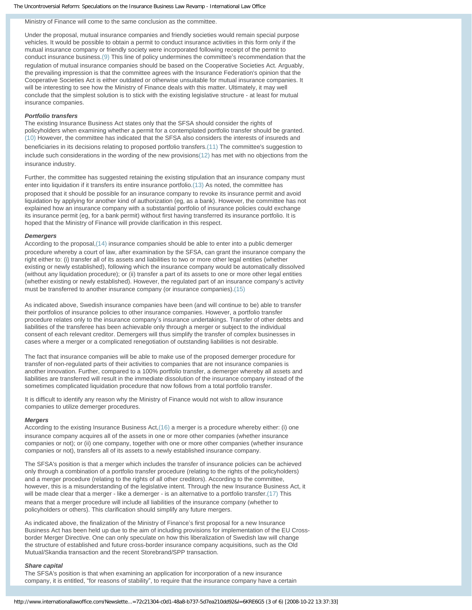# Ministry of Finance will come to the same conclusion as the committee.

Under the proposal, mutual insurance companies and friendly societies would remain special purpose vehicles. It would be possible to obtain a permit to conduct insurance activities in this form only if the mutual insurance company or friendly society were incorporated following receipt of the permit to conduct insurance business[.\(9\)](#page-4-9) This line of policy undermines the committee's recommendation that the regulation of mutual insurance companies should be based on the Cooperative Societies Act. Arguably, the prevailing impression is that the committee agrees with the Insurance Federation's opinion that the Cooperative Societies Act is either outdated or otherwise unsuitable for mutual insurance companies. It will be interesting to see how the Ministry of Finance deals with this matter. Ultimately, it may well conclude that the simplest solution is to stick with the existing legislative structure - at least for mutual insurance companies.

#### *Portfolio transfers*

The existing Insurance Business Act states only that the SFSA should consider the rights of policyholders when examining whether a permit for a contemplated portfolio transfer should be granted. [\(10\)](#page-4-10) However, the committee has indicated that the SFSA also considers the interests of insureds and beneficiaries in its decisions relating to proposed portfolio transfers[.\(11\)](#page-4-11) The committee's suggestion to include such considerations in the wording of the new provisions[\(12\)](#page-4-12) has met with no objections from the insurance industry.

Further, the committee has suggested retaining the existing stipulation that an insurance company must enter into liquidation if it transfers its entire insurance portfolio.[\(13\)](#page-4-13) As noted, the committee has proposed that it should be possible for an insurance company to revoke its insurance permit and avoid liquidation by applying for another kind of authorization (eg, as a bank). However, the committee has not explained how an insurance company with a substantial portfolio of insurance policies could exchange its insurance permit (eg, for a bank permit) without first having transferred its insurance portfolio. It is hoped that the Ministry of Finance will provide clarification in this respect.

#### *Demergers*

According to the proposal[,\(14\)](#page-4-14) insurance companies should be able to enter into a public demerger procedure whereby a court of law, after examination by the SFSA, can grant the insurance company the right either to: (i) transfer all of its assets and liabilities to two or more other legal entities (whether existing or newly established), following which the insurance company would be automatically dissolved (without any liquidation procedure); or (ii) transfer a part of its assets to one or more other legal entities (whether existing or newly established). However, the regulated part of an insurance company's activity must be transferred to another insurance company (or insurance companies).[\(15\)](#page-4-15)

As indicated above, Swedish insurance companies have been (and will continue to be) able to transfer their portfolios of insurance policies to other insurance companies. However, a portfolio transfer procedure relates only to the insurance company's insurance undertakings. Transfer of other debts and liabilities of the transferee has been achievable only through a merger or subject to the individual consent of each relevant creditor. Demergers will thus simplify the transfer of complex businesses in cases where a merger or a complicated renegotiation of outstanding liabilities is not desirable.

The fact that insurance companies will be able to make use of the proposed demerger procedure for transfer of non-regulated parts of their activities to companies that are not insurance companies is another innovation. Further, compared to a 100% portfolio transfer, a demerger whereby all assets and liabilities are transferred will result in the immediate dissolution of the insurance company instead of the sometimes complicated liquidation procedure that now follows from a total portfolio transfer.

It is difficult to identify any reason why the Ministry of Finance would not wish to allow insurance companies to utilize demerger procedures.

#### *Mergers*

According to the existing Insurance Business Act,[\(16\)](#page-4-16) a merger is a procedure whereby either: (i) one insurance company acquires all of the assets in one or more other companies (whether insurance companies or not); or (ii) one company, together with one or more other companies (whether insurance companies or not), transfers all of its assets to a newly established insurance company.

The SFSA's position is that a merger which includes the transfer of insurance policies can be achieved only through a combination of a portfolio transfer procedure (relating to the rights of the policyholders) and a merger procedure (relating to the rights of all other creditors). According to the committee, however, this is a misunderstanding of the legislative intent. Through the new Insurance Business Act, it will be made clear that a merger - like a demerger - is an alternative to a portfolio transfer[.\(17\)](#page-4-17) This means that a merger procedure will include all liabilities of the insurance company (whether to policyholders or others). This clarification should simplify any future mergers.

As indicated above, the finalization of the Ministry of Finance's first proposal for a new Insurance Business Act has been held up due to the aim of including provisions for implementation of the EU Crossborder Merger Directive. One can only speculate on how this liberalization of Swedish law will change the structure of established and future cross-border insurance company acquisitions, such as the Old Mutual/Skandia transaction and the recent Storebrand/SPP transaction.

#### *Share capital*

The SFSA's position is that when examining an application for incorporation of a new insurance company, it is entitled, "for reasons of stability", to require that the insurance company have a certain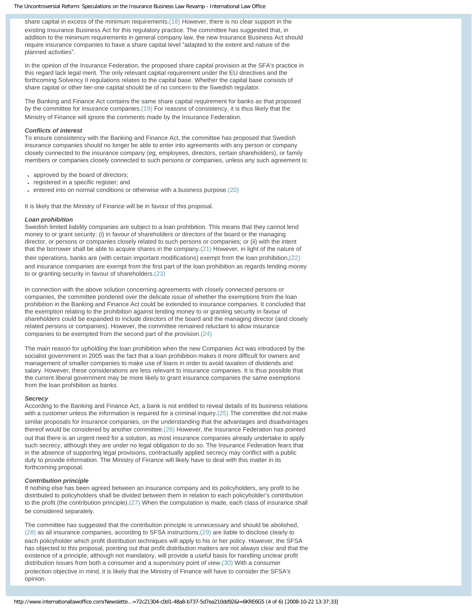The Uncontroversial Reform: Speculations on the Insurance Business Law Revamp - International Law Office

share capital in excess of the minimum requirements[.\(18\)](#page-4-18) However, there is no clear support in the existing Insurance Business Act for this regulatory practice. The committee has suggested that, in addition to the minimum requirements in general company law, the new Insurance Business Act should require insurance companies to have a share capital level "adapted to the extent and nature of the planned activities".

In the opinion of the Insurance Federation, the proposed share capital provision at the SFA's practice in this regard lack legal merit. The only relevant capital requirement under the EU directives and the forthcoming Solvency II regulations relates to the capital base. Whether the capital base consists of share capital or other tier-one capital should be of no concern to the Swedish regulator.

The Banking and Finance Act contains the same share capital requirement for banks as that proposed by the committee for insurance companies[.\(19\)](#page-4-19) For reasons of consistency, it is thus likely that the Ministry of Finance will ignore the comments made by the Insurance Federation.

# *Conflicts of interest*

To ensure consistency with the Banking and Finance Act, the committee has proposed that Swedish insurance companies should no longer be able to enter into agreements with any person or company closely connected to the insurance company (eg, employees, directors, certain shareholders), or family members or companies closely connected to such persons or companies, unless any such agreement is:

- approved by the board of directors;
- registered in a specific register; and
- $\cdot$  entered into on normal conditions or otherwise with a business purpose.[\(20\)](#page-4-20)

It is likely that the Ministry of Finance will be in favour of this proposal.

#### *Loan prohibition*

Swedish limited liability companies are subject to a loan prohibition. This means that they cannot lend money to or grant security: (i) in favour of shareholders or directors of the board or the managing director, or persons or companies closely related to such persons or companies; or (ii) with the intent that the borrower shall be able to acquire shares in the company[.\(21\)](#page-5-0) However, in light of the nature of their operations, banks are (with certain important modifications) exempt from the loan prohibition[,\(22\)](#page-5-1) and insurance companies are exempt from the first part of the loan prohibition as regards lending money to or granting security in favour of shareholders[.\(23\)](#page-5-2)

In connection with the above solution concerning agreements with closely connected persons or companies, the committee pondered over the delicate issue of whether the exemptions from the loan prohibition in the Banking and Finance Act could be extended to insurance companies. It concluded that the exemption relating to the prohibition against lending money to or granting security in favour of shareholders could be expanded to include directors of the board and the managing director (and closely related persons or companies). However, the committee remained reluctant to allow insurance companies to be exempted from the second part of the provision.[\(24\)](#page-5-3) 

The main reason for upholding the loan prohibition when the new Companies Act was introduced by the socialist government in 2005 was the fact that a loan prohibition makes it more difficult for owners and management of smaller companies to make use of loans in order to avoid taxation of dividends and salary. However, these considerations are less relevant to insurance companies. It is thus possible that the current liberal government may be more likely to grant insurance companies the same exemptions from the loan prohibition as banks.

#### *Secrecy*

According to the Banking and Finance Act, a bank is not entitled to reveal details of its business relations with a customer unless the information is required for a criminal inquiry[.\(25\)](#page-5-4) The committee did not make similar proposals for insurance companies, on the understanding that the advantages and disadvantages thereof would be considered by another committee[.\(26\)](#page-5-5) However, the Insurance Federation has pointed out that there is an urgent need for a solution, as most insurance companies already undertake to apply such secrecy, although they are under no legal obligation to do so. The Insurance Federation fears that in the absence of supporting legal provisions, contractually applied secrecy may conflict with a public duty to provide information. The Ministry of Finance will likely have to deal with this matter in its forthcoming proposal.

### *Contribution principle*

If nothing else has been agreed between an insurance company and its policyholders, any profit to be distributed to policyholders shall be divided between them in relation to each policyholder's contribution to the profit (the contribution principle)[.\(27\)](#page-5-6) When the computation is made, each class of insurance shall be considered separately.

The committee has suggested that the contribution principle is unnecessary and should be abolished, [\(28\)](#page-5-7) as all insurance companies, according to SFSA instructions,[\(29\)](#page-5-8) are liable to disclose clearly to each policyholder which profit distribution techniques will apply to his or her policy. However, the SFSA has objected to this proposal, pointing out that profit distribution matters are not always clear and that the existence of a principle, although not mandatory, will provide a useful basis for handling unclear profit distribution issues from both a consumer and a supervisory point of view.[\(30\)](#page-5-9) With a consumer protection objective in mind, it is likely that the Ministry of Finance will have to consider the SFSA's opinion.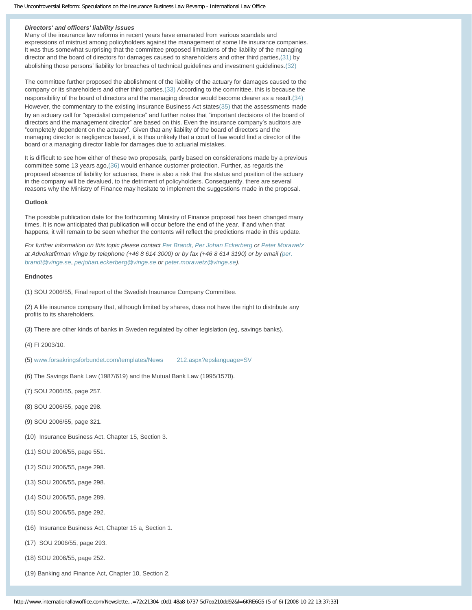#### *Directors' and officers' liability issues*

Many of the insurance law reforms in recent years have emanated from various scandals and expressions of mistrust among policyholders against the management of some life insurance companies. It was thus somewhat surprising that the committee proposed limitations of the liability of the managing director and the board of directors for damages caused to shareholders and other third parties,[\(31\)](#page-5-10) by abolishing those persons' liability for breaches of technical guidelines and investment guidelines[.\(32\)](#page-5-11)

The committee further proposed the abolishment of the liability of the actuary for damages caused to the company or its shareholders and other third parties[.\(33\)](#page-5-12) According to the committee, this is because the responsibility of the board of directors and the managing director would become clearer as a result[.\(34\)](#page-5-13) However, the commentary to the existing Insurance Business Act state[s\(35\)](#page-5-14) that the assessments made by an actuary call for "specialist competence" and further notes that "important decisions of the board of directors and the management director" are based on this. Even the insurance company's auditors are "completely dependent on the actuary". Given that any liability of the board of directors and the managing director is negligence based, it is thus unlikely that a court of law would find a director of the board or a managing director liable for damages due to actuarial mistakes.

It is difficult to see how either of these two proposals, partly based on considerations made by a previous committee some 13 years ago,[\(36\)](#page-5-15) would enhance customer protection. Further, as regards the proposed absence of liability for actuaries, there is also a risk that the status and position of the actuary in the company will be devalued, to the detriment of policyholders. Consequently, there are several reasons why the Ministry of Finance may hesitate to implement the suggestions made in the proposal.

#### <span id="page-4-0"></span>**Outlook**

The possible publication date for the forthcoming Ministry of Finance proposal has been changed many times. It is now anticipated that publication will occur before the end of the year. If and when that happens, it will remain to be seen whether the contents will reflect the predictions made in this update.

*For further information on this topic please contact [Per Brandt,](http://www.internationallawoffice.com/Directory/Biography.aspx?g=d7ea6f6d-7837-43c8-9c14-319eace69d1c) [Per Johan Eckerberg](http://www.internationallawoffice.com/directory/biography.aspx?r=4407) or [Peter Morawetz](http://www.internationallawoffice.com/Directory/Biography.aspx?g=5d24ae6a-f61a-49c0-8feb-4d45075065ab) at Advokatfirman Vinge by telephone (+46 8 614 3000) or by fax (+46 8 614 3190) or by email ([per.](mailto:per.brandt@vinge.se?subject=Article%20on%20ILO) [brandt@vinge.se](mailto:per.brandt@vinge.se?subject=Article%20on%20ILO)*, *[perjohan.eckerberg@vinge.se](mailto:perjohan.eckerberg@vinge.se?subject=Article%20on%20ILO) or [peter.morawetz@vinge.se](mailto:peter.morawetz@vinge.se?subject=Article%20on%20ILO)).*

#### **Endnotes**

<span id="page-4-1"></span>(1) SOU 2006/55, Final report of the Swedish Insurance Company Committee.

<span id="page-4-2"></span>(2) A life insurance company that, although limited by shares, does not have the right to distribute any profits to its shareholders.

<span id="page-4-3"></span>(3) There are other kinds of banks in Sweden regulated by other legislation (eg, savings banks).

<span id="page-4-4"></span>(4) FI 2003/10.

<span id="page-4-5"></span>(5) [www.forsakringsforbundet.com/templates/News\\_\\_\\_\\_212.aspx?epslanguage=SV](http://www.forsakringsforbundet.com/templates/News____212.aspx?epslanguage=SV)

- <span id="page-4-6"></span>(6) The Savings Bank Law (1987/619) and the Mutual Bank Law (1995/1570).
- <span id="page-4-7"></span>(7) SOU 2006/55, page 257.
- <span id="page-4-8"></span>(8) SOU 2006/55, page 298.
- <span id="page-4-9"></span>(9) SOU 2006/55, page 321.
- <span id="page-4-10"></span>(10) Insurance Business Act, Chapter 15, Section 3.
- <span id="page-4-11"></span>(11) SOU 2006/55, page 551.
- <span id="page-4-12"></span>(12) SOU 2006/55, page 298.
- <span id="page-4-13"></span>(13) SOU 2006/55, page 298.
- <span id="page-4-14"></span>(14) SOU 2006/55, page 289.
- <span id="page-4-15"></span>(15) SOU 2006/55, page 292.
- <span id="page-4-16"></span>(16) Insurance Business Act, Chapter 15 a, Section 1.
- <span id="page-4-17"></span>(17) SOU 2006/55, page 293.
- <span id="page-4-18"></span>(18) SOU 2006/55, page 252.
- <span id="page-4-20"></span><span id="page-4-19"></span>(19) Banking and Finance Act, Chapter 10, Section 2.